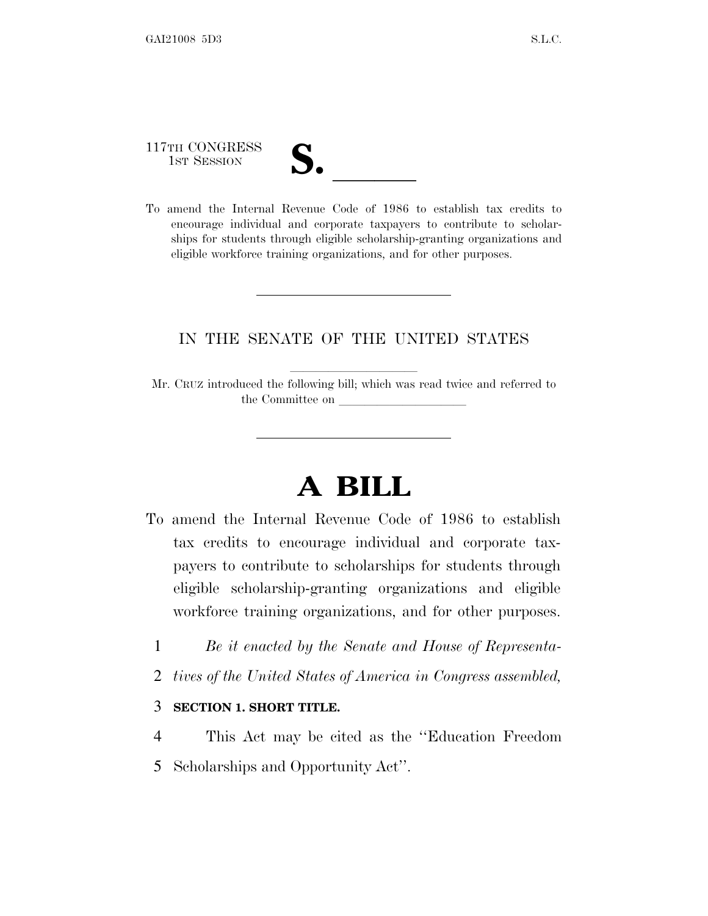117TH CONGRESS

| V.<br>I |  |
|---------|--|
|         |  |

117TH CONGRESS<br>
1ST SESSION<br>
To amend the Internal Revenue Code of 1986 to establish tax credits to encourage individual and corporate taxpayers to contribute to scholarships for students through eligible scholarship-granting organizations and eligible workforce training organizations, and for other purposes.

### IN THE SENATE OF THE UNITED STATES

Mr. CRUZ introduced the following bill; which was read twice and referred to the Committee on

# **A BILL**

- To amend the Internal Revenue Code of 1986 to establish tax credits to encourage individual and corporate taxpayers to contribute to scholarships for students through eligible scholarship-granting organizations and eligible workforce training organizations, and for other purposes.
	- 1 *Be it enacted by the Senate and House of Representa-*
	- 2 *tives of the United States of America in Congress assembled,*

#### 3 **SECTION 1. SHORT TITLE.**

4 This Act may be cited as the ''Education Freedom 5 Scholarships and Opportunity Act''.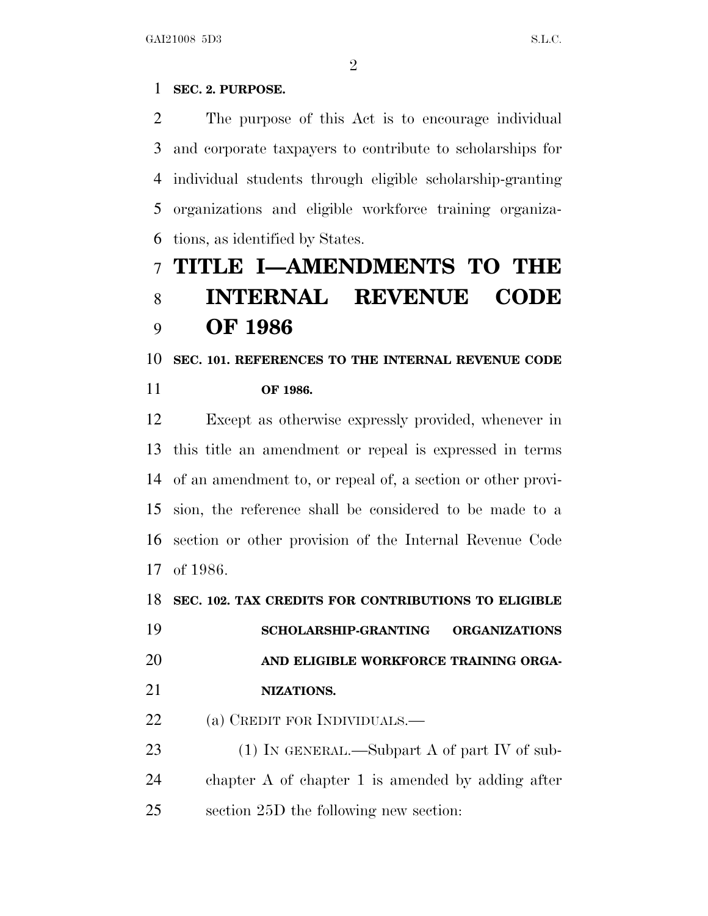### **SEC. 2. PURPOSE.**

 The purpose of this Act is to encourage individual and corporate taxpayers to contribute to scholarships for individual students through eligible scholarship-granting organizations and eligible workforce training organiza-tions, as identified by States.

## **TITLE I—AMENDMENTS TO THE INTERNAL REVENUE CODE OF 1986**

### **SEC. 101. REFERENCES TO THE INTERNAL REVENUE CODE OF 1986.**

 Except as otherwise expressly provided, whenever in this title an amendment or repeal is expressed in terms of an amendment to, or repeal of, a section or other provi- sion, the reference shall be considered to be made to a section or other provision of the Internal Revenue Code of 1986.

#### **SEC. 102. TAX CREDITS FOR CONTRIBUTIONS TO ELIGIBLE**

 **SCHOLARSHIP-GRANTING ORGANIZATIONS AND ELIGIBLE WORKFORCE TRAINING ORGA-**

**NIZATIONS.**

22 (a) CREDIT FOR INDIVIDUALS.—

23 (1) IN GENERAL.—Subpart A of part IV of sub- chapter A of chapter 1 is amended by adding after section 25D the following new section: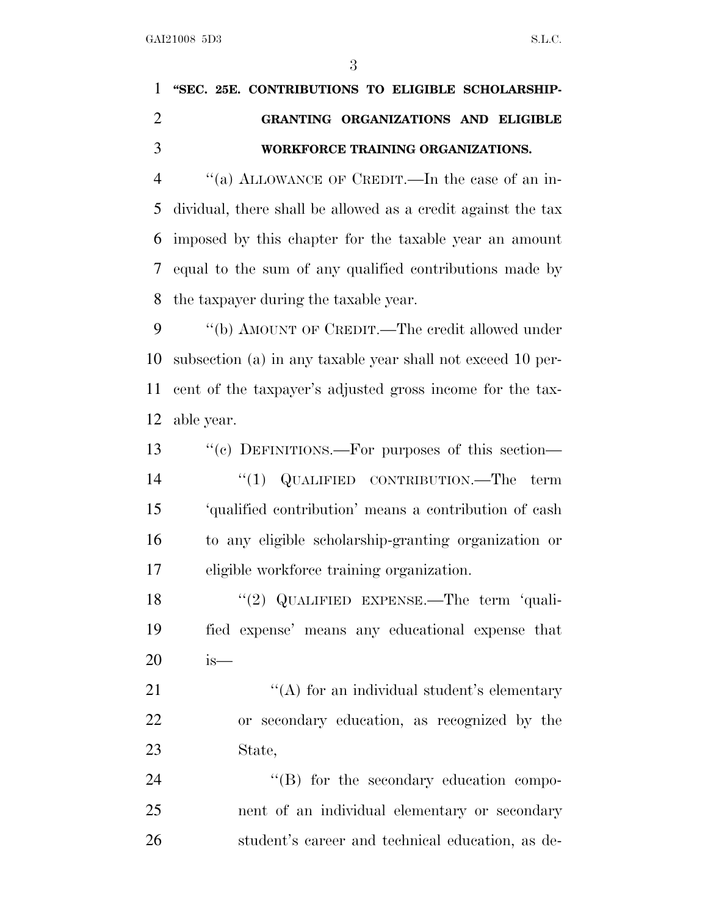## **''SEC. 25E. CONTRIBUTIONS TO ELIGIBLE SCHOLARSHIP- GRANTING ORGANIZATIONS AND ELIGIBLE WORKFORCE TRAINING ORGANIZATIONS.**

 ''(a) ALLOWANCE OF CREDIT.—In the case of an in- dividual, there shall be allowed as a credit against the tax imposed by this chapter for the taxable year an amount equal to the sum of any qualified contributions made by the taxpayer during the taxable year.

9 "(b) AMOUNT OF CREDIT.—The credit allowed under subsection (a) in any taxable year shall not exceed 10 per- cent of the taxpayer's adjusted gross income for the tax-able year.

13 "(c) DEFINITIONS.—For purposes of this section— 14 "(1) QUALIFIED CONTRIBUTION.—The term 'qualified contribution' means a contribution of cash to any eligible scholarship-granting organization or eligible workforce training organization.

18 "(2) QUALIFIED EXPENSE.—The term 'quali- fied expense' means any educational expense that is—

21 ''(A) for an individual student's elementary or secondary education, as recognized by the State,

24  $\text{``(B)}$  for the secondary education compo- nent of an individual elementary or secondary student's career and technical education, as de-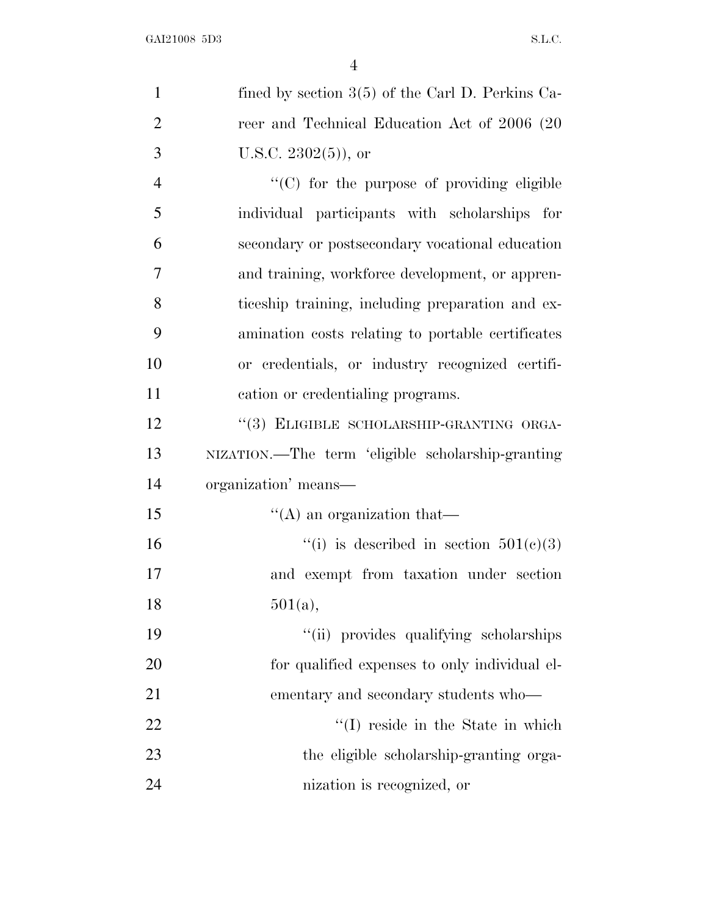| $\mathbf{1}$   | fined by section $3(5)$ of the Carl D. Perkins Ca- |
|----------------|----------------------------------------------------|
| $\overline{2}$ | reer and Technical Education Act of 2006 (20       |
| 3              | U.S.C. $2302(5)$ , or                              |
| $\overline{4}$ | $\cdot$ (C) for the purpose of providing eligible  |
| 5              | individual participants with scholarships for      |
| 6              | secondary or postsecondary vocational education    |
| $\overline{7}$ | and training, workforce development, or appren-    |
| 8              | ticeship training, including preparation and ex-   |
| 9              | amination costs relating to portable certificates  |
| 10             | or credentials, or industry recognized certifi-    |
| 11             | cation or credentialing programs.                  |
| 12             | "(3) ELIGIBLE SCHOLARSHIP-GRANTING ORGA-           |
| 13             | NIZATION.—The term 'eligible scholarship-granting  |
| 14             | organization' means—                               |
| 15             | $\lq\lq$ an organization that—                     |
| 16             | "(i) is described in section $501(e)(3)$           |
| 17             | and exempt from taxation under section             |
| 18             | 501(a),                                            |
| 19             | "(ii) provides qualifying scholarships             |
| 20             | for qualified expenses to only individual el-      |
| 21             | ementary and secondary students who—               |
| 22             | $\lq\lq (I)$ reside in the State in which          |
| 23             | the eligible scholarship-granting orga-            |
| 24             | nization is recognized, or                         |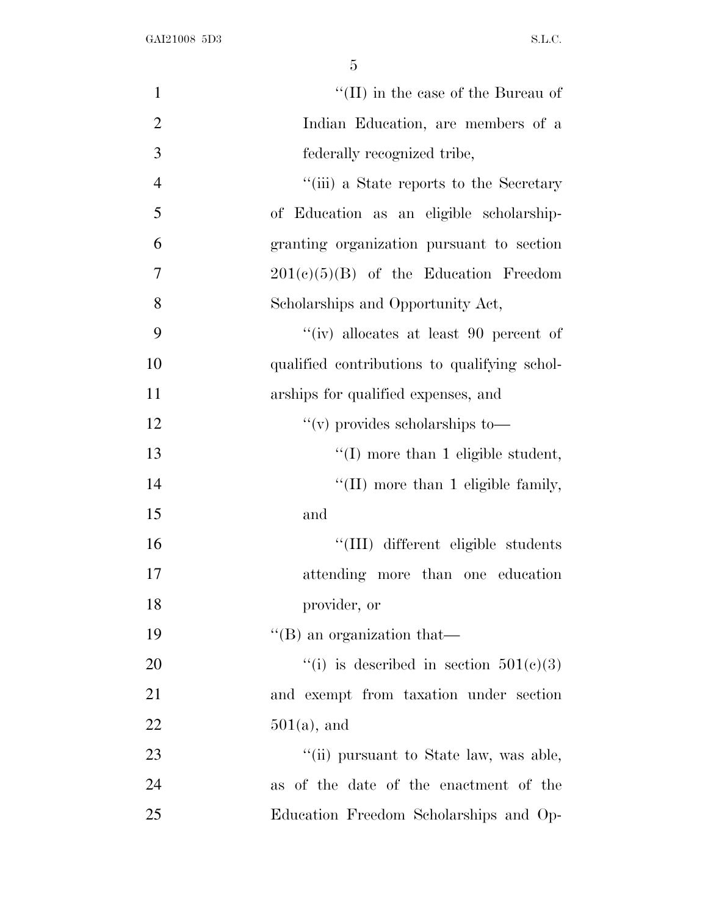| $\mathbf{1}$   | "(II) in the case of the Bureau of           |
|----------------|----------------------------------------------|
| $\mathbf{2}$   | Indian Education, are members of a           |
| $\mathfrak{Z}$ | federally recognized tribe,                  |
| $\overline{4}$ | "(iii) a State reports to the Secretary      |
| 5              | of Education as an eligible scholarship-     |
| 6              | granting organization pursuant to section    |
| 7              | $201(c)(5)(B)$ of the Education Freedom      |
| 8              | Scholarships and Opportunity Act,            |
| 9              | "(iv) allocates at least 90 percent of       |
| 10             | qualified contributions to qualifying schol- |
| 11             | arships for qualified expenses, and          |
| 12             | $\lq\lq$ (v) provides scholarships to $\lq$  |
| 13             | $\lq (I)$ more than 1 eligible student,      |
| 14             | $\lq$ (II) more than 1 eligible family,      |
| 15             | and                                          |
| 16             | "(III) different eligible students           |
| 17             | attending more than one education            |
| 18             | provider, or                                 |
| 19             | $\lq\lq$ (B) an organization that —          |
| 20             | "(i) is described in section $501(c)(3)$     |
| 21             | and exempt from taxation under section       |
| 22             | $501(a)$ , and                               |
| 23             | "(ii) pursuant to State law, was able,       |
| 24             | as of the date of the enactment of the       |
| 25             | Education Freedom Scholarships and Op-       |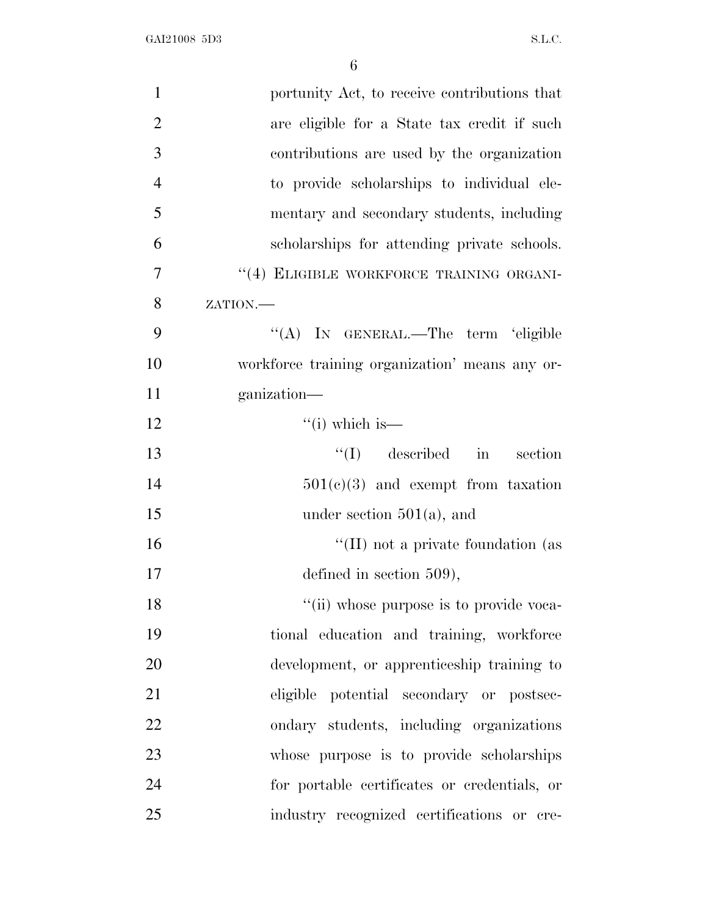| $\mathbf{1}$   | portunity Act, to receive contributions that   |
|----------------|------------------------------------------------|
| $\overline{2}$ | are eligible for a State tax credit if such    |
| 3              | contributions are used by the organization     |
| $\overline{4}$ | to provide scholarships to individual ele-     |
| 5              | mentary and secondary students, including      |
| 6              | scholarships for attending private schools.    |
| 7              | "(4) ELIGIBLE WORKFORCE TRAINING ORGANI-       |
| 8              | ZATION.                                        |
| 9              | "(A) IN GENERAL.—The term 'eligible            |
| 10             | workforce training organization' means any or- |
| 11             | ganization-                                    |
| 12             | $``(i)$ which is—                              |
| 13             | $\lq\lq$ (I) described in section              |
| 14             | $501(e)(3)$ and exempt from taxation           |
| 15             | under section $501(a)$ , and                   |
| 16             | $\lq\lq$ (II) not a private foundation (as     |
| 17             | defined in section $509$ ),                    |
| 18             | "(ii) whose purpose is to provide voca-        |
| 19             | tional education and training, workforce       |
| 20             | development, or apprenticeship training to     |
| 21             | eligible potential secondary or postsec-       |
| 22             | ondary students, including organizations       |
| 23             | whose purpose is to provide scholarships       |
| 24             | for portable certificates or credentials, or   |
| 25             | industry recognized certifications or cre-     |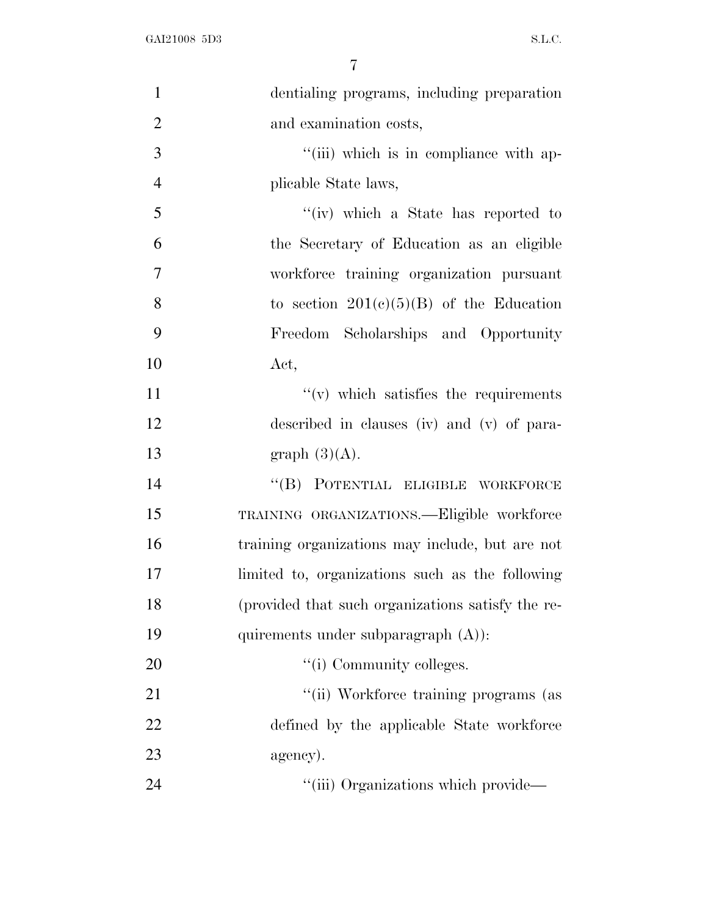| $\mathbf{1}$   | dentialing programs, including preparation        |
|----------------|---------------------------------------------------|
| $\overline{2}$ | and examination costs,                            |
| 3              | "(iii) which is in compliance with ap-            |
| $\overline{4}$ | plicable State laws,                              |
| 5              | "(iv) which a State has reported to               |
| 6              | the Secretary of Education as an eligible         |
| $\overline{7}$ | workforce training organization pursuant          |
| 8              | to section $201(c)(5)(B)$ of the Education        |
| 9              | Freedom Scholarships and Opportunity              |
| 10             | Act,                                              |
| 11             | $f'(v)$ which satisfies the requirements          |
| 12             | described in clauses (iv) and (v) of para-        |
| 13             | graph $(3)(A)$ .                                  |
| 14             | "(B) POTENTIAL ELIGIBLE WORKFORCE                 |
| 15             | TRAINING ORGANIZATIONS.-Eligible workforce        |
| 16             | training organizations may include, but are not   |
| 17             | limited to, organizations such as the following   |
| 18             | (provided that such organizations satisfy the re- |
| 19             | quirements under subparagraph $(A)$ :             |
| 20             | "(i) Community colleges.                          |
| 21             | "(ii) Workforce training programs (as             |
| 22             | defined by the applicable State workforce         |
| 23             | agency).                                          |
| 24             | "(iii) Organizations which provide—               |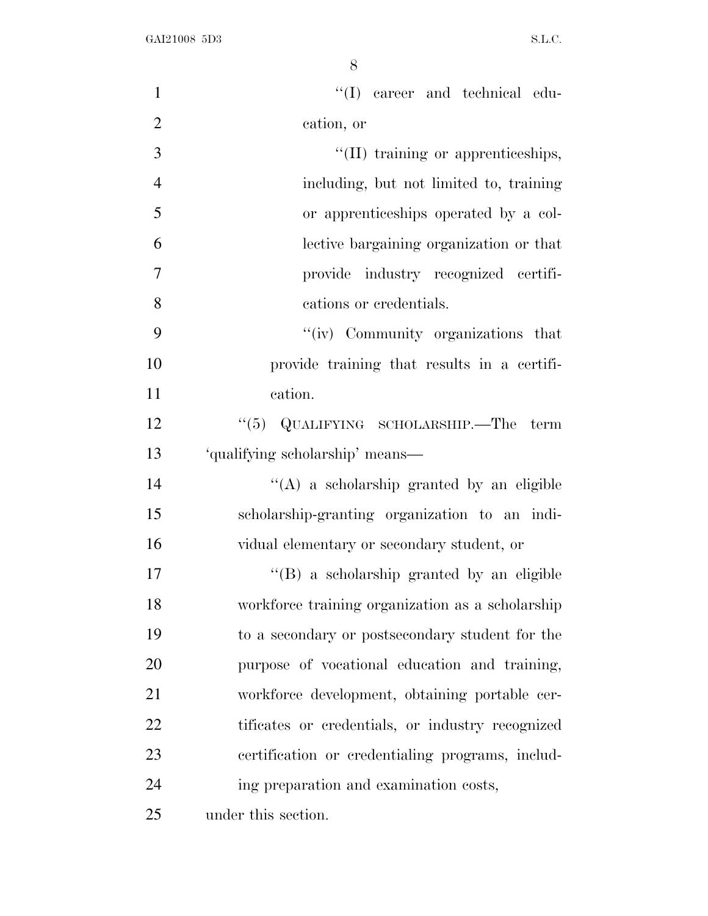| $\mathbf{1}$   | "(I) career and technical edu-                   |
|----------------|--------------------------------------------------|
| $\overline{2}$ | cation, or                                       |
| 3              | "(II) training or apprenticeships,               |
| $\overline{4}$ | including, but not limited to, training          |
| 5              | or apprenticeships operated by a col-            |
| 6              | lective bargaining organization or that          |
| 7              | provide industry recognized certifi-             |
| 8              | cations or credentials.                          |
| 9              | "(iv) Community organizations that               |
| 10             | provide training that results in a certifi-      |
| 11             | cation.                                          |
| 12             | "(5) $QUALIFYING$ SCHOLARSHIP.—The term          |
| 13             | 'qualifying scholarship' means—                  |
| 14             | "(A) a scholarship granted by an eligible        |
| 15             | scholarship-granting organization to an indi-    |
| 16             | vidual elementary or secondary student, or       |
| 17             | "(B) a scholarship granted by an eligible        |
| 18             | workforce training organization as a scholarship |
| 19             | to a secondary or postsecondary student for the  |
| 20             | purpose of vocational education and training,    |
| 21             | workforce development, obtaining portable cer-   |
| 22             | tificates or credentials, or industry recognized |
| 23             | certification or credentialing programs, includ- |
| 24             | ing preparation and examination costs,           |
| 25             | under this section.                              |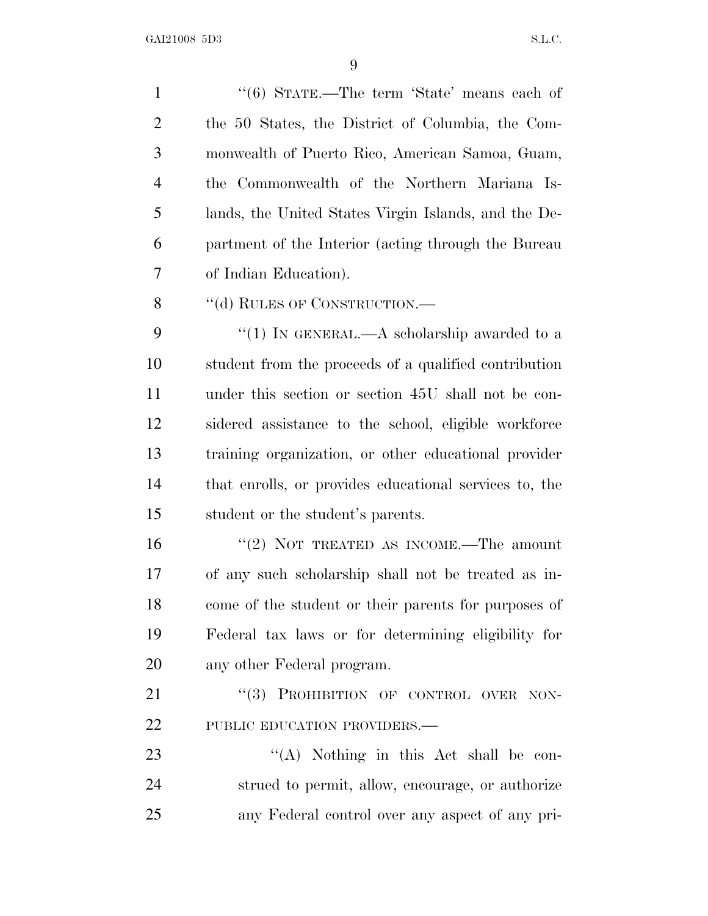1 "(6) STATE.—The term 'State' means each of the 50 States, the District of Columbia, the Com- monwealth of Puerto Rico, American Samoa, Guam, the Commonwealth of the Northern Mariana Is- lands, the United States Virgin Islands, and the De- partment of the Interior (acting through the Bureau of Indian Education). 8 "(d) RULES OF CONSTRUCTION.—

9 "(1) In GENERAL.—A scholarship awarded to a student from the proceeds of a qualified contribution under this section or section 45U shall not be con- sidered assistance to the school, eligible workforce training organization, or other educational provider that enrolls, or provides educational services to, the student or the student's parents.

16 "(2) NOT TREATED AS INCOME.—The amount of any such scholarship shall not be treated as in- come of the student or their parents for purposes of Federal tax laws or for determining eligibility for any other Federal program.

21 "(3) PROHIBITION OF CONTROL OVER NON-22 PUBLIC EDUCATION PROVIDERS.—

23 ''(A) Nothing in this Act shall be con- strued to permit, allow, encourage, or authorize any Federal control over any aspect of any pri-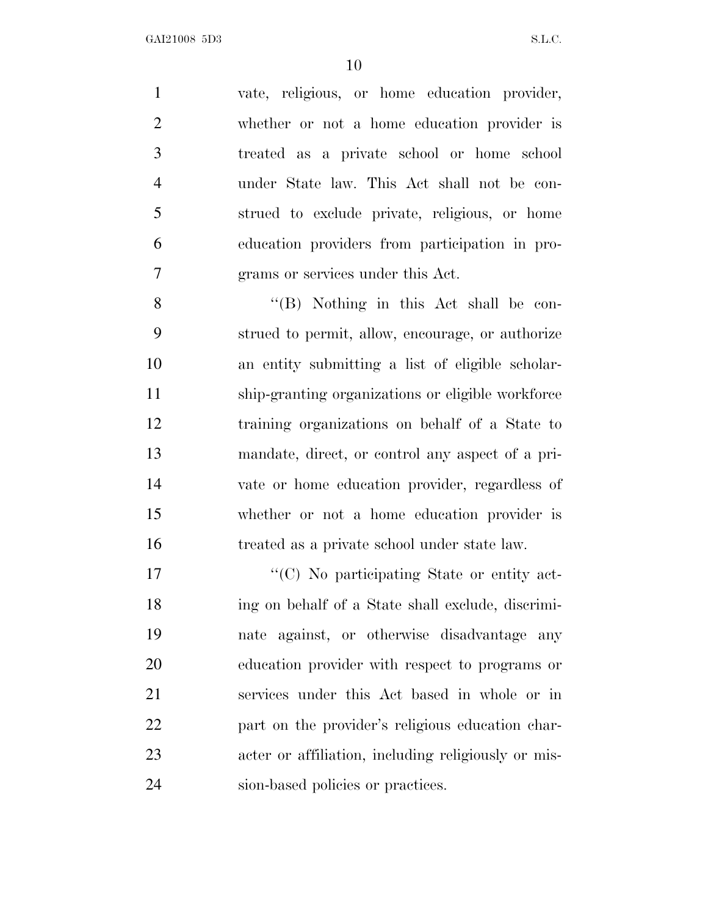vate, religious, or home education provider, whether or not a home education provider is treated as a private school or home school under State law. This Act shall not be con- strued to exclude private, religious, or home education providers from participation in pro-grams or services under this Act.

 ''(B) Nothing in this Act shall be con- strued to permit, allow, encourage, or authorize an entity submitting a list of eligible scholar- ship-granting organizations or eligible workforce training organizations on behalf of a State to mandate, direct, or control any aspect of a pri- vate or home education provider, regardless of whether or not a home education provider is treated as a private school under state law.

 $\cdot$  (C) No participating State or entity act- ing on behalf of a State shall exclude, discrimi- nate against, or otherwise disadvantage any education provider with respect to programs or services under this Act based in whole or in part on the provider's religious education char- acter or affiliation, including religiously or mis-24 sion-based policies or practices.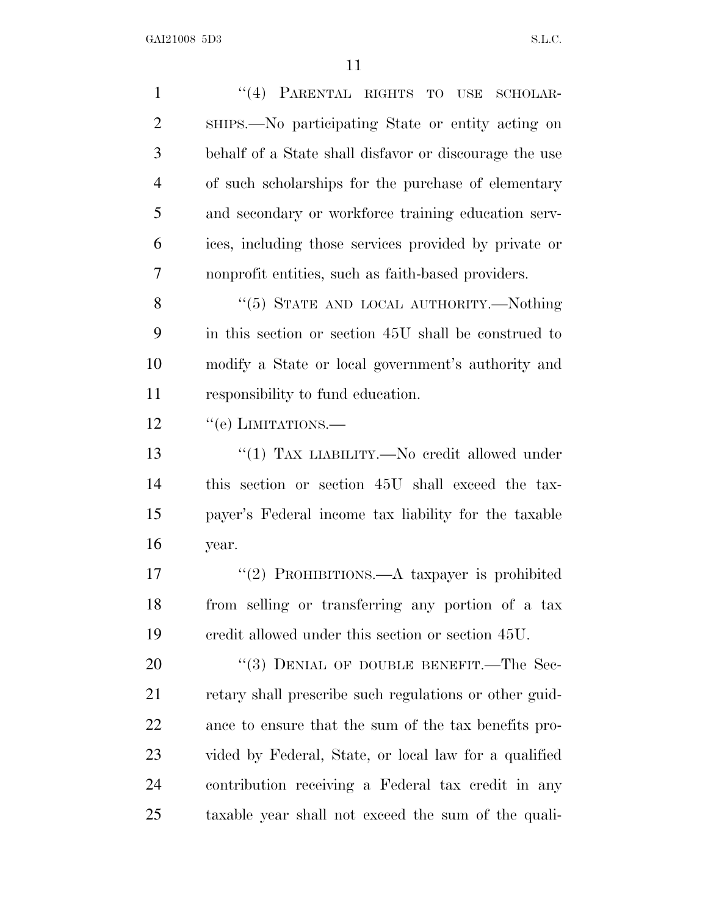| $\mathbf{1}$   | "(4) PARENTAL RIGHTS TO USE SCHOLAR-                   |
|----------------|--------------------------------------------------------|
| $\overline{2}$ | SHIPS.—No participating State or entity acting on      |
| 3              | behalf of a State shall disfavor or discourage the use |
| $\overline{4}$ | of such scholarships for the purchase of elementary    |
| 5              | and secondary or workforce training education serv-    |
| 6              | ices, including those services provided by private or  |
| 7              | nonprofit entities, such as faith-based providers.     |
| 8              | "(5) STATE AND LOCAL AUTHORITY.—Nothing                |
| 9              | in this section or section 45U shall be construed to   |
| 10             | modify a State or local government's authority and     |
| 11             | responsibility to fund education.                      |
| 12             | $``(e)$ LIMITATIONS.—                                  |
| 13             | "(1) TAX LIABILITY.—No credit allowed under            |
| 14             | this section or section 45U shall exceed the tax-      |
| 15             | payer's Federal income tax liability for the taxable   |
| 16             | year.                                                  |
| 17             | "(2) PROHIBITIONS.—A taxpayer is prohibited            |
| 18             | from selling or transferring any portion of a tax      |
| 19             | eredit allowed under this section or section 45U.      |
| 20             | "(3) DENIAL OF DOUBLE BENEFIT.—The Sec-                |
| 21             | retary shall prescribe such regulations or other guid- |
| 22             | ance to ensure that the sum of the tax benefits pro-   |
| 23             | vided by Federal, State, or local law for a qualified  |
| 24             | contribution receiving a Federal tax credit in any     |
| 25             | taxable year shall not exceed the sum of the quali-    |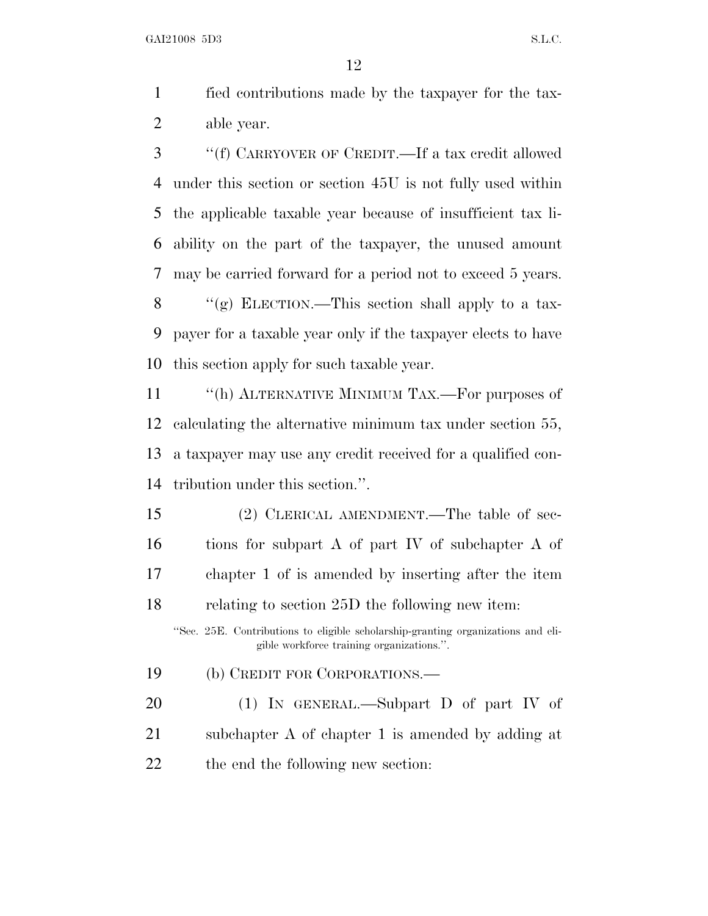fied contributions made by the taxpayer for the tax-able year.

 ''(f) CARRYOVER OF CREDIT.—If a tax credit allowed under this section or section 45U is not fully used within the applicable taxable year because of insufficient tax li- ability on the part of the taxpayer, the unused amount may be carried forward for a period not to exceed 5 years.  $\langle \langle \rangle$  ELECTION.—This section shall apply to a tax- payer for a taxable year only if the taxpayer elects to have this section apply for such taxable year.

11 "(h) ALTERNATIVE MINIMUM TAX.—For purposes of calculating the alternative minimum tax under section 55, a taxpayer may use any credit received for a qualified con-tribution under this section.''.

 (2) CLERICAL AMENDMENT.—The table of sec- tions for subpart A of part IV of subchapter A of chapter 1 of is amended by inserting after the item relating to section 25D the following new item:

''Sec. 25E. Contributions to eligible scholarship-granting organizations and eligible workforce training organizations.''.

(b) CREDIT FOR CORPORATIONS.—

 (1) IN GENERAL.—Subpart D of part IV of subchapter A of chapter 1 is amended by adding at 22 the end the following new section: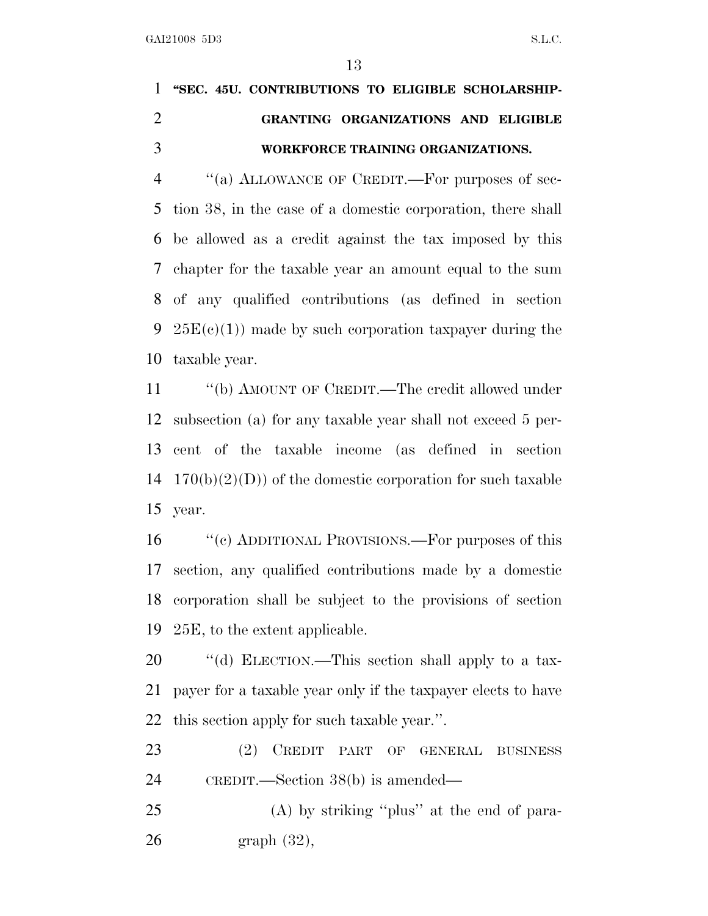## **''SEC. 45U. CONTRIBUTIONS TO ELIGIBLE SCHOLARSHIP- GRANTING ORGANIZATIONS AND ELIGIBLE WORKFORCE TRAINING ORGANIZATIONS.**

4 "(a) ALLOWANCE OF CREDIT.—For purposes of sec- tion 38, in the case of a domestic corporation, there shall be allowed as a credit against the tax imposed by this chapter for the taxable year an amount equal to the sum of any qualified contributions (as defined in section  $25E(e)(1)$  made by such corporation taxpayer during the taxable year.

 ''(b) AMOUNT OF CREDIT.—The credit allowed under subsection (a) for any taxable year shall not exceed 5 per- cent of the taxable income (as defined in section  $170(b)(2)(D)$  of the domestic corporation for such taxable year.

16 "(c) ADDITIONAL PROVISIONS.—For purposes of this section, any qualified contributions made by a domestic corporation shall be subject to the provisions of section 25E, to the extent applicable.

20  $\cdot$  "(d) ELECTION.—This section shall apply to a tax- payer for a taxable year only if the taxpayer elects to have this section apply for such taxable year.''.

 (2) CREDIT PART OF GENERAL BUSINESS CREDIT.—Section 38(b) is amended—

 (A) by striking ''plus'' at the end of para-graph (32),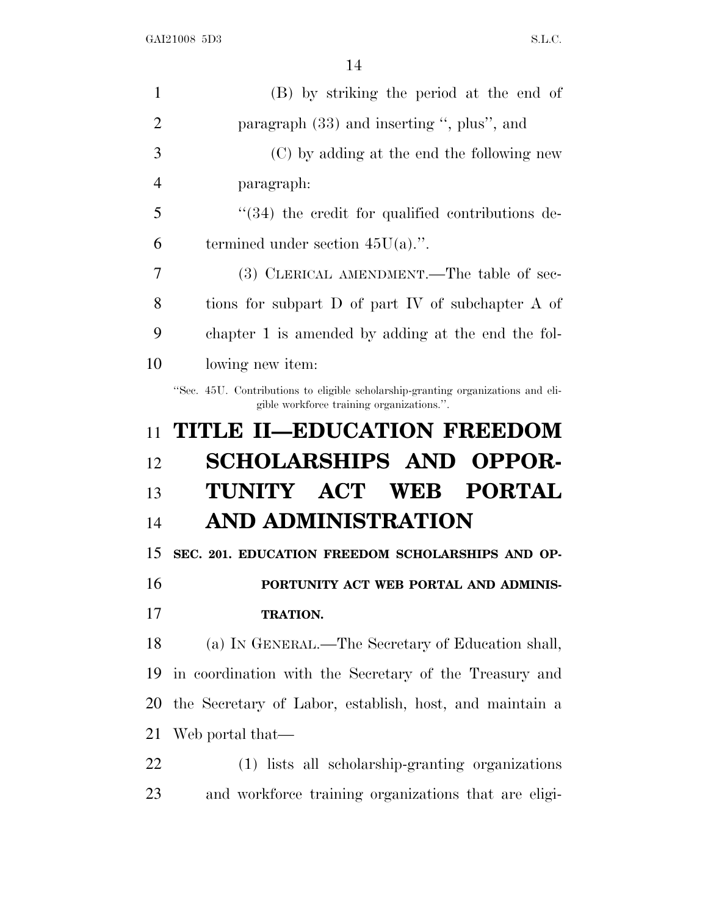| 1              | (B) by striking the period at the end of                                                                                      |
|----------------|-------------------------------------------------------------------------------------------------------------------------------|
| $\overline{2}$ | paragraph (33) and inserting ", plus", and                                                                                    |
| 3              | (C) by adding at the end the following new                                                                                    |
| 4              | paragraph:                                                                                                                    |
| 5              | "(34) the credit for qualified contributions de-                                                                              |
| 6              | termined under section $45U(a)$ .".                                                                                           |
| 7              | (3) CLERICAL AMENDMENT.—The table of sec-                                                                                     |
| 8              | tions for subpart D of part IV of subchapter A of                                                                             |
| 9              | chapter 1 is amended by adding at the end the fol-                                                                            |
| 10             | lowing new item:                                                                                                              |
|                | "Sec. 45U. Contributions to eligible scholarship-granting organizations and eli-<br>gible workforce training organizations.". |
| 11             | <b>TITLE II-EDUCATION FREEDOM</b>                                                                                             |
| 12             | <b>SCHOLARSHIPS AND OPPOR-</b>                                                                                                |
| 13             | TUNITY ACT WEB PORTAL                                                                                                         |
| 14             | AND ADMINISTRATION                                                                                                            |
| 15             | SEC. 201. EDUCATION FREEDOM SCHOLARSHIPS AND OP-                                                                              |
| 16             | PORTUNITY ACT WEB PORTAL AND ADMINIS-                                                                                         |
| 17             | TRATION.                                                                                                                      |
| 18             | (a) IN GENERAL.—The Secretary of Education shall,                                                                             |
| 19             | in coordination with the Secretary of the Treasury and                                                                        |
| 20             | the Secretary of Labor, establish, host, and maintain a                                                                       |
| 21             | Web portal that—                                                                                                              |
| 22             | (1) lists all scholarship-granting organizations                                                                              |
| 23             | and workforce training organizations that are eligi-                                                                          |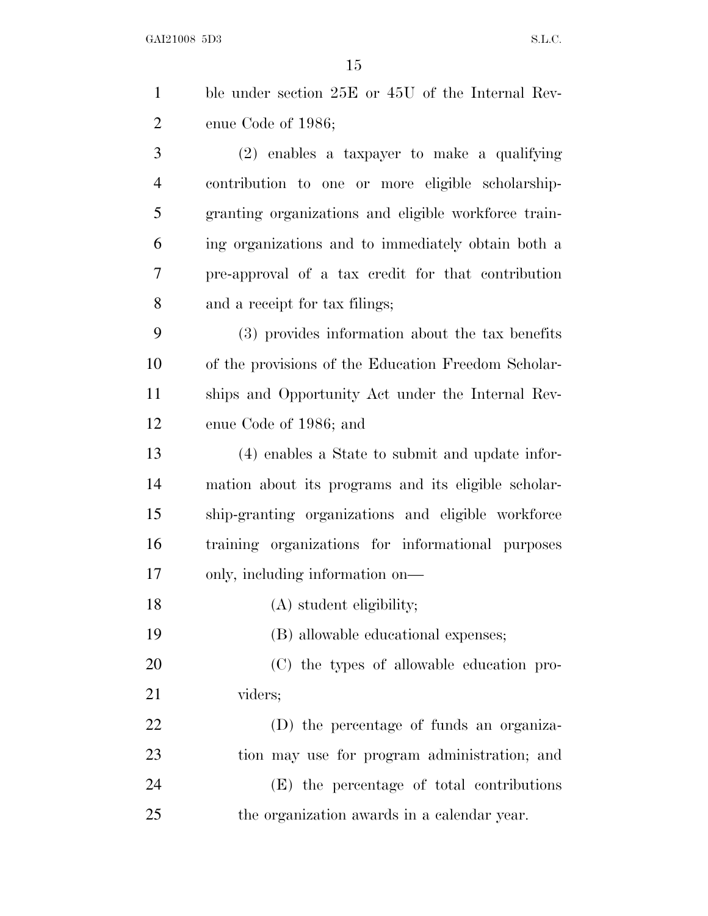| $\mathbf{1}$   | ble under section 25E or 45U of the Internal Rev-    |
|----------------|------------------------------------------------------|
| $\overline{2}$ | enue Code of 1986;                                   |
| 3              | (2) enables a taxpayer to make a qualifying          |
| $\overline{4}$ | contribution to one or more eligible scholarship-    |
| 5              | granting organizations and eligible workforce train- |
| 6              | ing organizations and to immediately obtain both a   |
| 7              | pre-approval of a tax credit for that contribution   |
| 8              | and a receipt for tax filings;                       |
| 9              | (3) provides information about the tax benefits      |
| 10             | of the provisions of the Education Freedom Scholar-  |
| 11             | ships and Opportunity Act under the Internal Rev-    |
| 12             | enue Code of 1986; and                               |
| 13             | (4) enables a State to submit and update infor-      |
| 14             | mation about its programs and its eligible scholar-  |
| 15             | ship-granting organizations and eligible workforce   |
| 16             | training organizations for informational purposes    |
| 17             | only, including information on—                      |
| 18             | (A) student eligibility;                             |
| 19             | (B) allowable educational expenses;                  |
| 20             | (C) the types of allowable education pro-            |
| 21             | viders;                                              |
| 22             | (D) the percentage of funds an organiza-             |
| 23             | tion may use for program administration; and         |
| 24             | (E) the percentage of total contributions            |

the organization awards in a calendar year.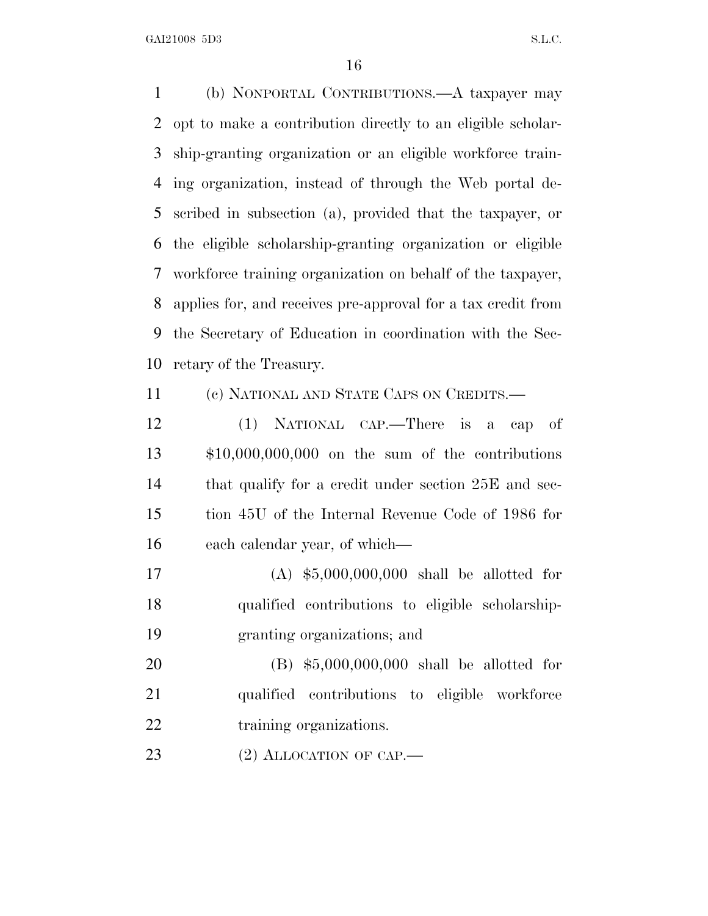(b) NONPORTAL CONTRIBUTIONS.—A taxpayer may opt to make a contribution directly to an eligible scholar- ship-granting organization or an eligible workforce train- ing organization, instead of through the Web portal de- scribed in subsection (a), provided that the taxpayer, or the eligible scholarship-granting organization or eligible workforce training organization on behalf of the taxpayer, applies for, and receives pre-approval for a tax credit from the Secretary of Education in coordination with the Sec-retary of the Treasury.

(c) NATIONAL AND STATE CAPS ON CREDITS.—

 (1) NATIONAL CAP.—There is a cap of \$10,000,000,000 on the sum of the contributions that qualify for a credit under section 25E and sec- tion 45U of the Internal Revenue Code of 1986 for each calendar year, of which—

 (A) \$5,000,000,000 shall be allotted for qualified contributions to eligible scholarship-granting organizations; and

 (B) \$5,000,000,000 shall be allotted for qualified contributions to eligible workforce 22 training organizations.

23 (2) ALLOCATION OF CAP.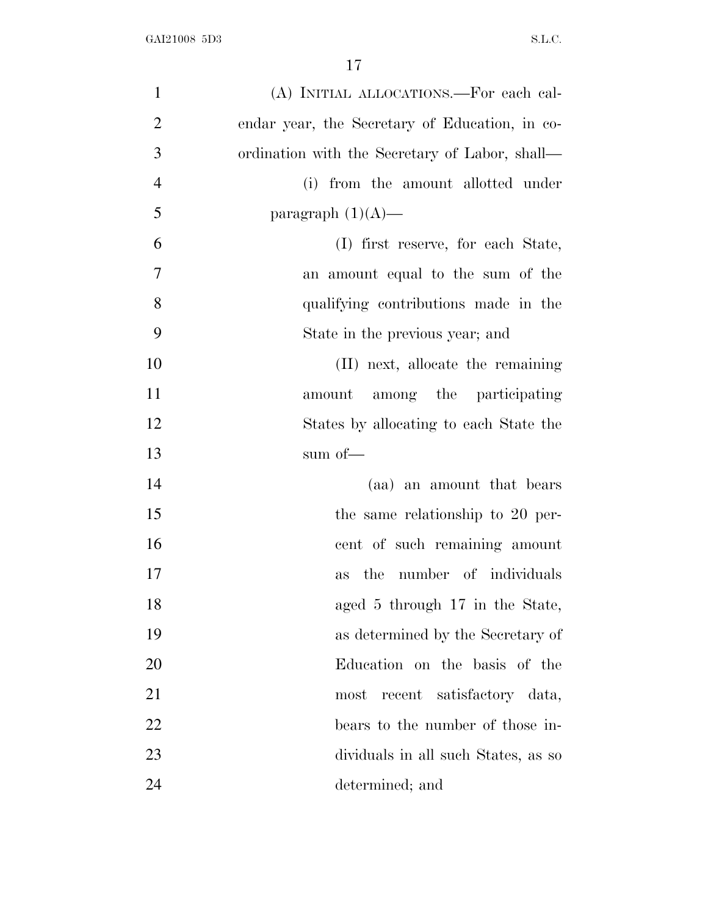| $\mathbf{1}$   | (A) INITIAL ALLOCATIONS.—For each cal-         |
|----------------|------------------------------------------------|
| $\overline{2}$ | endar year, the Secretary of Education, in co- |
| 3              | ordination with the Secretary of Labor, shall— |
| $\overline{4}$ | (i) from the amount allotted under             |
| 5              | paragraph $(1)(A)$ —                           |
| 6              | (I) first reserve, for each State,             |
| 7              | an amount equal to the sum of the              |
| 8              | qualifying contributions made in the           |
| 9              | State in the previous year; and                |
| 10             | (II) next, allocate the remaining              |
| 11             | amount among the participating                 |
| 12             | States by allocating to each State the         |
| 13             | sum of—                                        |
| 14             | (aa) an amount that bears                      |
| 15             | the same relationship to 20 per-               |
| 16             | cent of such remaining amount                  |
| 17             | the number of individuals<br>as                |
| 18             | aged 5 through 17 in the State,                |
| 19             | as determined by the Secretary of              |
| 20             | Education on the basis of the                  |
| 21             | recent satisfactory data,<br>most              |
| 22             | bears to the number of those in-               |
| 23             | dividuals in all such States, as so            |
| 24             | determined; and                                |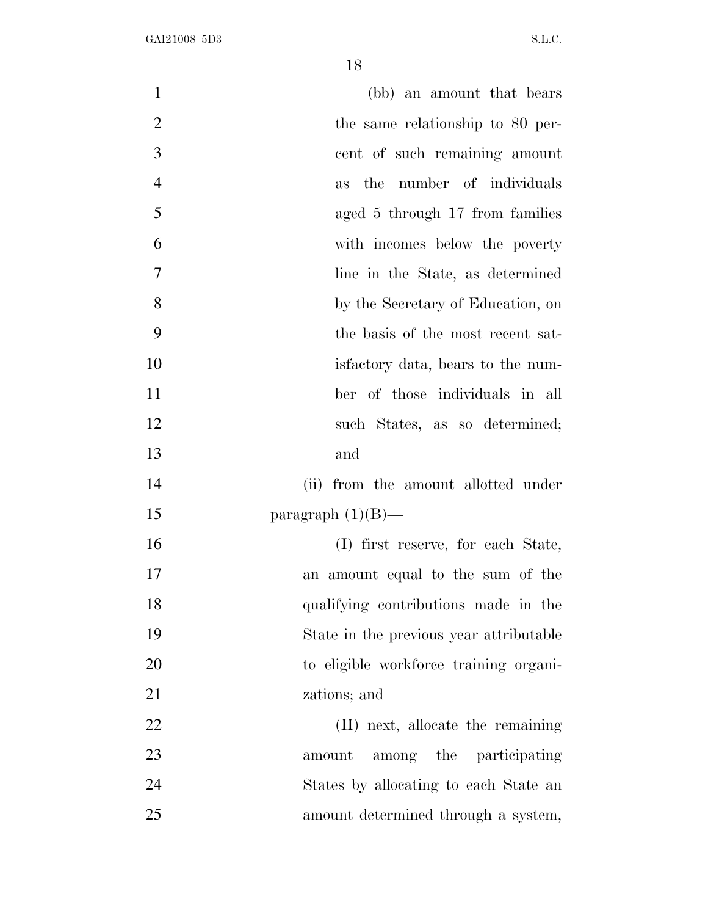| $\mathbf{1}$<br>(bb) an amount that bears          |
|----------------------------------------------------|
|                                                    |
| $\overline{2}$<br>the same relationship to 80 per- |
| 3<br>cent of such remaining amount                 |
| $\overline{4}$<br>the number of individuals<br>as  |
| 5<br>aged 5 through 17 from families               |
| 6<br>with incomes below the poverty                |
| $\overline{7}$<br>line in the State, as determined |
| 8<br>by the Secretary of Education, on             |
| 9<br>the basis of the most recent sat-             |
| 10<br>is factory data, bears to the num-           |
| 11<br>ber of those individuals in all              |
| 12<br>such States, as so determined;               |
| 13<br>and                                          |
| 14<br>from the amount allotted under<br>(ii)       |
| 15<br>paragraph $(1)(B)$ —                         |
| 16<br>(I) first reserve, for each State,           |
| 17<br>an amount equal to the sum of the            |
| 18<br>qualifying contributions made in the         |
| 19<br>State in the previous year attributable      |
| 20<br>to eligible workforce training organi-       |
| 21<br>zations; and                                 |
| 22<br>(II) next, allocate the remaining            |
| 23<br>among the participating<br>amount            |
| 24<br>States by allocating to each State an        |
| 25<br>amount determined through a system,          |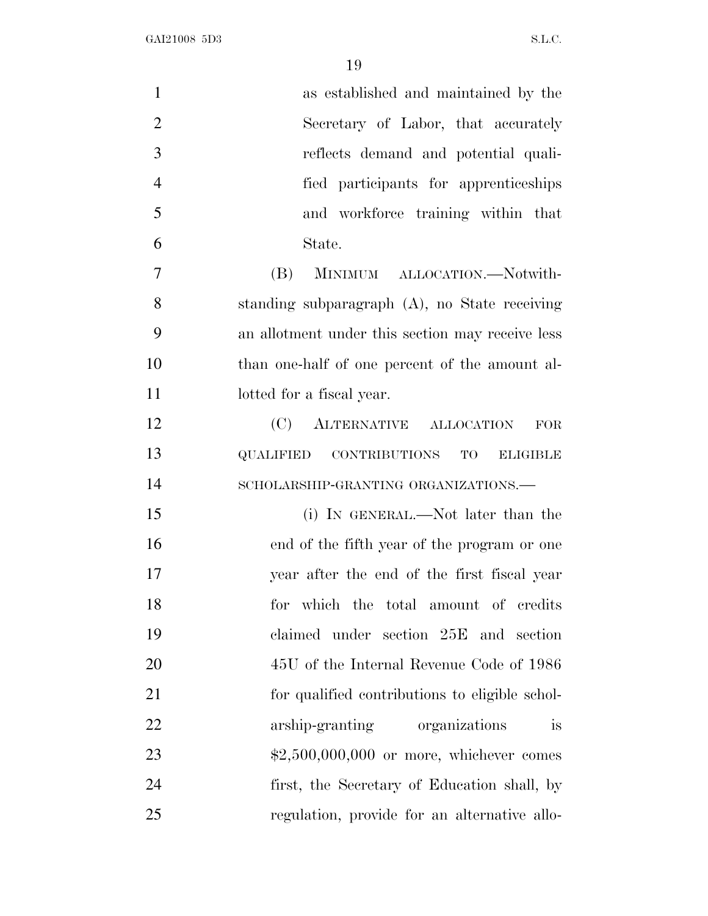| $\mathbf{1}$   | as established and maintained by the             |
|----------------|--------------------------------------------------|
| $\overline{2}$ | Secretary of Labor, that accurately              |
| 3              | reflects demand and potential quali-             |
| $\overline{4}$ | fied participants for apprenticeships            |
| 5              | and workforce training within that               |
| 6              | State.                                           |
| $\overline{7}$ | (B)<br>MINIMUM ALLOCATION.—Notwith-              |
| 8              | standing subparagraph (A), no State receiving    |
| 9              | an allotment under this section may receive less |
| 10             | than one-half of one percent of the amount al-   |
| 11             | lotted for a fiscal year.                        |
| 12             | (C)<br>ALTERNATIVE ALLOCATION<br><b>FOR</b>      |
| 13             | QUALIFIED CONTRIBUTIONS TO<br><b>ELIGIBLE</b>    |
| 14             | SCHOLARSHIP-GRANTING ORGANIZATIONS.-             |
| 15             | (i) IN GENERAL.—Not later than the               |
| 16             | end of the fifth year of the program or one      |
| 17             | year after the end of the first fiscal year      |
| 18             | for which the total amount of credits            |
| 19             | claimed under section 25E and section            |
| 20             | 45U of the Internal Revenue Code of 1986         |
| 21             | for qualified contributions to eligible schol-   |
| 22             | arship-granting organizations<br>is              |
| 23             | $$2,500,000,000$ or more, whichever comes        |
| 24             | first, the Secretary of Education shall, by      |
| 25             | regulation, provide for an alternative allo-     |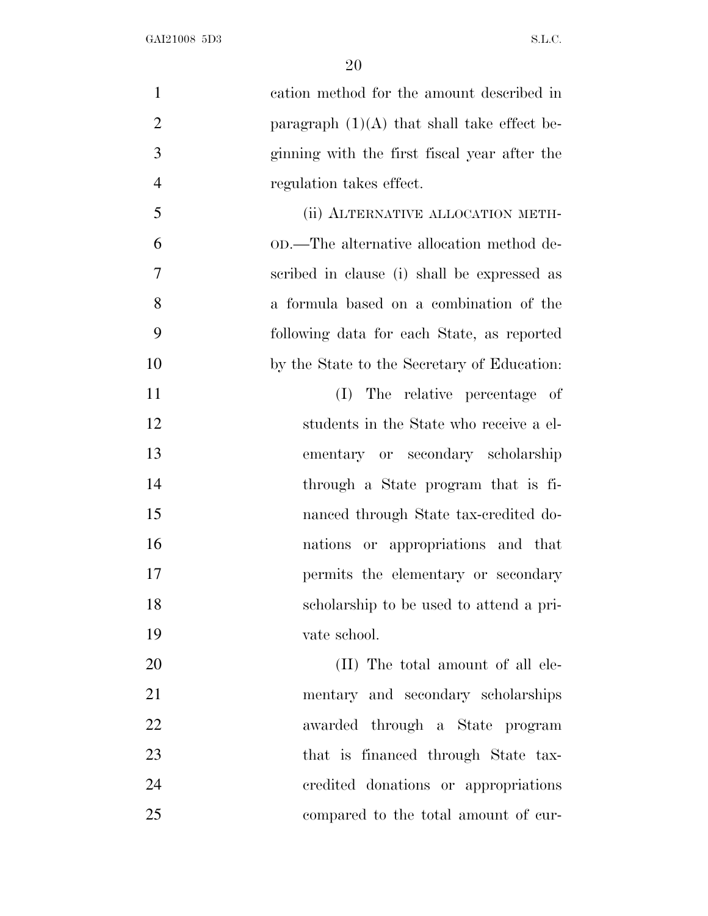| $\mathbf{1}$   | cation method for the amount described in     |
|----------------|-----------------------------------------------|
| $\overline{2}$ | paragraph $(1)(A)$ that shall take effect be- |
| 3              | ginning with the first fiscal year after the  |
| $\overline{4}$ | regulation takes effect.                      |
| 5              | (ii) ALTERNATIVE ALLOCATION METH-             |
| 6              | OD.—The alternative allocation method de-     |
| 7              | scribed in clause (i) shall be expressed as   |
| 8              | a formula based on a combination of the       |
| 9              | following data for each State, as reported    |
| 10             | by the State to the Secretary of Education:   |
| 11             | The relative percentage of<br>(I)             |
| 12             | students in the State who receive a el-       |
| 13             | ementary or secondary scholarship             |
| 14             | through a State program that is fi-           |
| 15             | nanced through State tax-credited do-         |
| 16             | nations or appropriations and that            |
| 17             | permits the elementary or secondary           |
| 18             | scholarship to be used to attend a pri-       |
| 19             | vate school.                                  |
| 20             | (II) The total amount of all ele-             |
| 21             | mentary and secondary scholarships            |
| 22             | awarded through a State program               |
| 23             | that is financed through State tax-           |
| 24             | credited donations or appropriations          |
| 25             | compared to the total amount of cur-          |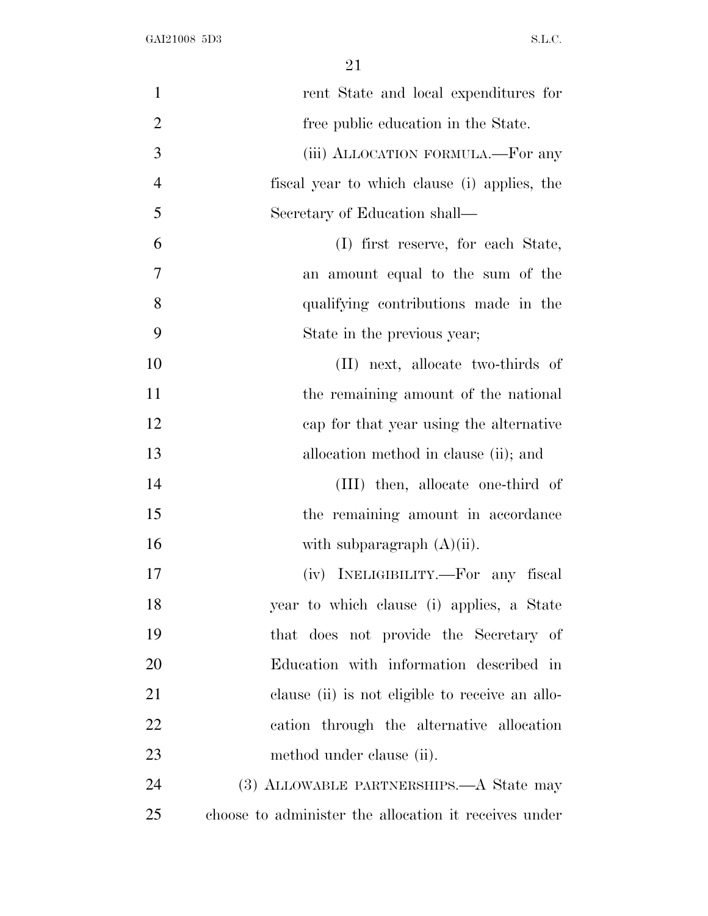| $\mathbf{1}$   | rent State and local expenditures for                 |
|----------------|-------------------------------------------------------|
| $\overline{2}$ | free public education in the State.                   |
| 3              | (iii) ALLOCATION FORMULA.—For any                     |
| $\overline{4}$ | fiscal year to which clause (i) applies, the          |
| 5              | Secretary of Education shall—                         |
| 6              | (I) first reserve, for each State,                    |
| 7              | an amount equal to the sum of the                     |
| 8              | qualifying contributions made in the                  |
| 9              | State in the previous year;                           |
| 10             | (II) next, allocate two-thirds of                     |
| 11             | the remaining amount of the national                  |
| 12             | cap for that year using the alternative               |
| 13             | allocation method in clause (ii); and                 |
| 14             | (III) then, allocate one-third of                     |
| 15             | the remaining amount in accordance                    |
| 16             | with subparagraph $(A)(ii)$ .                         |
| 17             | (iv) INELIGIBILITY.—For any fiscal                    |
| 18             | year to which clause (i) applies, a State             |
| 19             | that does not provide the Secretary of                |
| 20             | Education with information described in               |
| 21             | clause (ii) is not eligible to receive an allo-       |
| 22             | cation through the alternative allocation             |
| 23             | method under clause (ii).                             |
| 24             | (3) ALLOWABLE PARTNERSHIPS.—A State may               |
| 25             | choose to administer the allocation it receives under |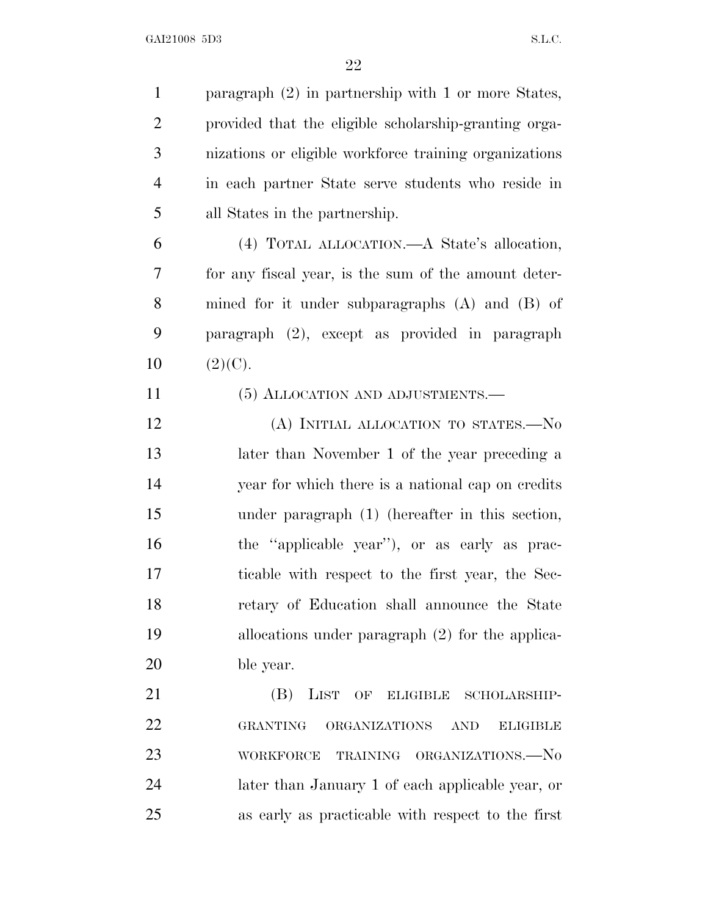| $\mathbf{1}$   | paragraph $(2)$ in partnership with 1 or more States,             |
|----------------|-------------------------------------------------------------------|
| $\overline{2}$ | provided that the eligible scholarship-granting orga-             |
| 3              | nizations or eligible workforce training organizations            |
| $\overline{4}$ | in each partner State serve students who reside in                |
| 5              | all States in the partnership.                                    |
| 6              | (4) TOTAL ALLOCATION.—A State's allocation,                       |
| 7              | for any fiscal year, is the sum of the amount deter-              |
| 8              | mined for it under subparagraphs (A) and (B) of                   |
| 9              | paragraph (2), except as provided in paragraph                    |
| 10             | (2)(C).                                                           |
| 11             | (5) ALLOCATION AND ADJUSTMENTS.—                                  |
| 12             | (A) INITIAL ALLOCATION TO STATES.-No                              |
| 13             | later than November 1 of the year preceding a                     |
| 14             | year for which there is a national cap on credits                 |
| 15             | under paragraph (1) (hereafter in this section,                   |
| 16             | the "applicable year"), or as early as prac-                      |
| 17             | ticable with respect to the first year, the Sec-                  |
| 18             | retary of Education shall announce the State                      |
| 19             | allocations under paragraph (2) for the applica-                  |
| 20             | ble year.                                                         |
| 21             | LIST<br>(B)<br>OF ELIGIBLE<br>SCHOLARSHIP-                        |
| 22             | <b>GRANTING</b><br>ORGANIZATIONS<br><b>AND</b><br><b>ELIGIBLE</b> |
| 23             | TRAINING ORGANIZATIONS.-No<br><b>WORKFORCE</b>                    |
| 24             | later than January 1 of each applicable year, or                  |
| 25             | as early as practicable with respect to the first                 |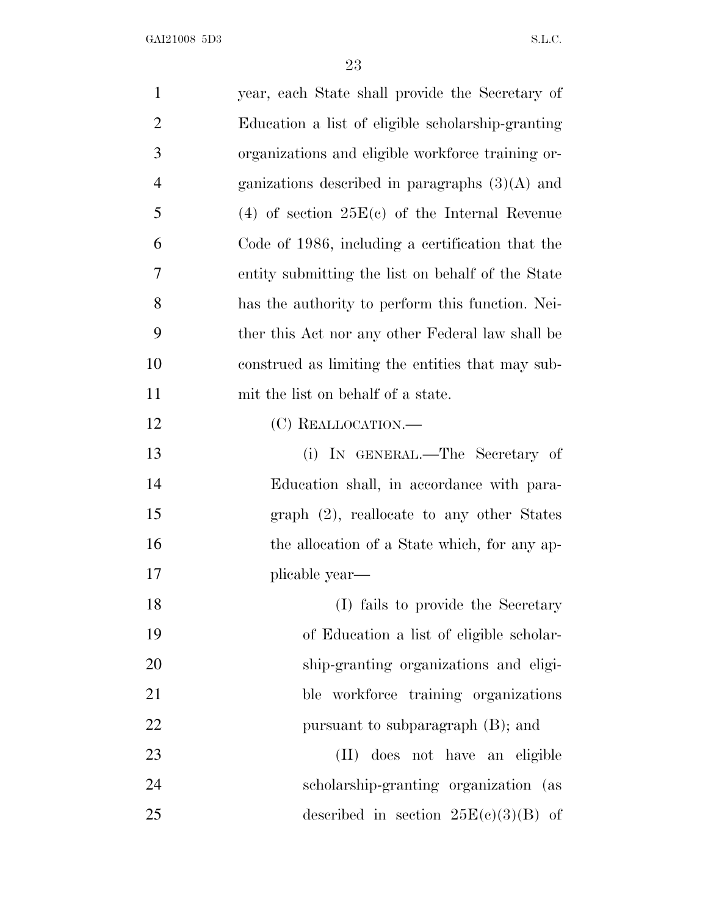| $\mathbf{1}$   | year, each State shall provide the Secretary of   |
|----------------|---------------------------------------------------|
| $\overline{2}$ | Education a list of eligible scholarship-granting |
| 3              | organizations and eligible workforce training or- |
| 4              | ganizations described in paragraphs $(3)(A)$ and  |
| 5              | (4) of section $25E(c)$ of the Internal Revenue   |
| 6              | Code of 1986, including a certification that the  |
| 7              | entity submitting the list on behalf of the State |
| 8              | has the authority to perform this function. Nei-  |
| 9              | ther this Act nor any other Federal law shall be  |
| 10             | construed as limiting the entities that may sub-  |
| 11             | mit the list on behalf of a state.                |
| 12             | (C) REALLOCATION.—                                |
| 13             | (i) IN GENERAL.—The Secretary of                  |
| 14             | Education shall, in accordance with para-         |
| 15             | $graph (2)$ , reallocate to any other States      |
| 16             | the allocation of a State which, for any ap-      |
| 17             | plicable year—                                    |
| 18             | (I) fails to provide the Secretary                |
| 19             | of Education a list of eligible scholar-          |
| 20             | ship-granting organizations and eligi-            |
| 21             | ble workforce training organizations              |
| 22             | pursuant to subparagraph (B); and                 |
| 23             | (II) does not have an eligible                    |
| 24             | scholarship-granting organization (as             |
| 25             | described in section $25E(c)(3)(B)$ of            |